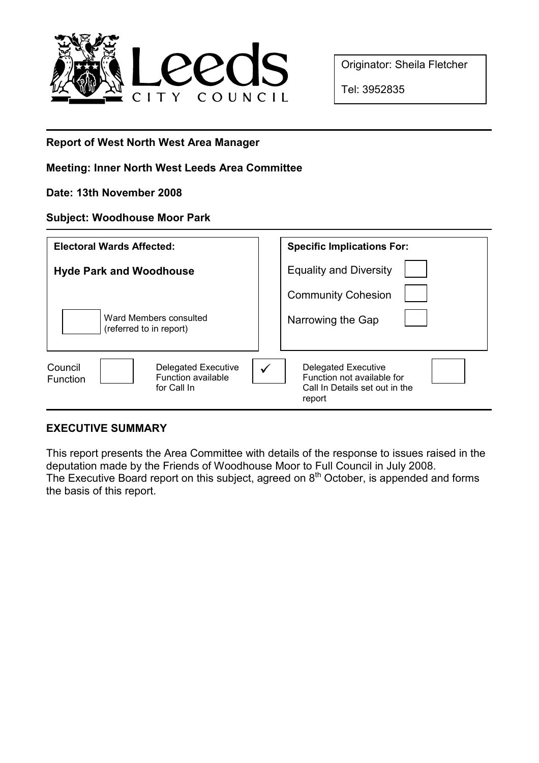

Originator: Sheila Fletcher

Tel: 3952835

# Report of West North West Area Manager

### Meeting: Inner North West Leeds Area Committee

#### Date: 13th November 2008

#### Subject: Woodhouse Moor Park

| <b>Electoral Wards Affected:</b> | <b>Specific Implications For:</b> |
|----------------------------------|-----------------------------------|
| <b>Hyde Park and Woodhouse</b>   | <b>Equality and Diversity</b>     |
| Ward Members consulted           | <b>Community Cohesion</b>         |
| (referred to in report)          | Narrowing the Gap                 |
| <b>Delegated Executive</b>       | <b>Delegated Executive</b>        |
| Council                          | ✓                                 |
| Function available               | Function not available for        |
| <b>Function</b>                  | Call In Details set out in the    |
| for Call In                      | report                            |

# EXECUTIVE SUMMARY

This report presents the Area Committee with details of the response to issues raised in the deputation made by the Friends of Woodhouse Moor to Full Council in July 2008. The Executive Board report on this subject, agreed on  $8<sup>th</sup>$  October, is appended and forms the basis of this report.